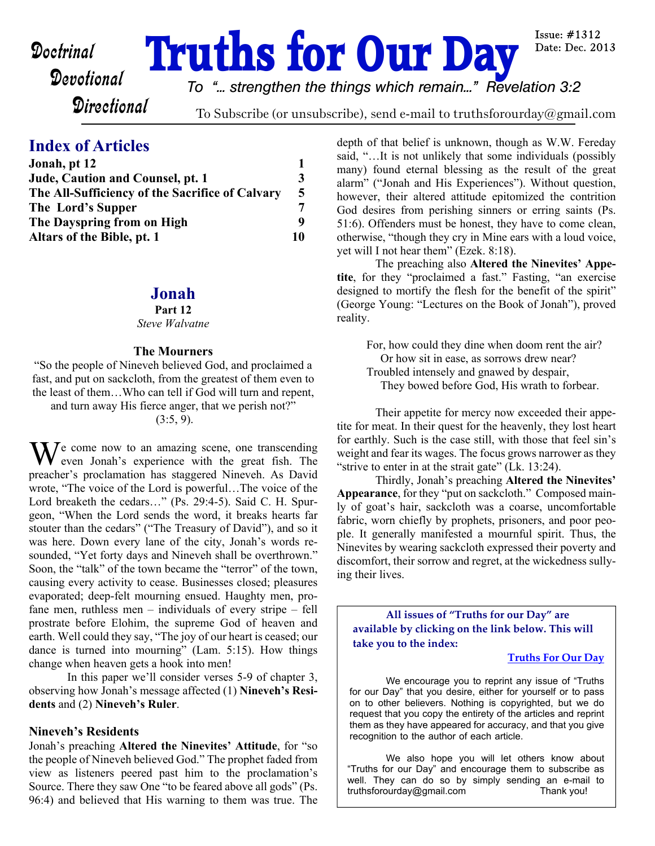# **Doctrinal Truths for Our Day**

Issue:  $\#1312$ Date: Dec. 2013

**Directional** 

*To "... strengthen the things which remain..." Revelation 3:2*

To Subscribe (or unsubscribe), send e-mail to truthsforourday@gmail.com

# **Index of Articles**

| Jonah, pt 12                                                                                             |    |
|----------------------------------------------------------------------------------------------------------|----|
| Jude, Caution and Counsel, pt. 1<br>The All-Sufficiency of the Sacrifice of Calvary<br>The Lord's Supper | 3  |
|                                                                                                          | 5  |
|                                                                                                          | 7  |
| The Dayspring from on High                                                                               | q  |
| Altars of the Bible, pt. 1                                                                               | 10 |

## **Jonah**

#### **Part 12**

#### *Steve Walvatne*

#### **The Mourners**

"So the people of Nineveh believed God, and proclaimed a fast, and put on sackcloth, from the greatest of them even to the least of them…Who can tell if God will turn and repent, and turn away His fierce anger, that we perish not?"

 $(3:5, 9)$ .

 $\mathbf{W}$  e come now to an amazing scene, one transcending even Jonah's experience with the great fish. The preacher's proclamation has staggered Nineveh. As David wrote, "The voice of the Lord is powerful…The voice of the Lord breaketh the cedars…" (Ps. 29:4-5). Said C. H. Spurgeon, "When the Lord sends the word, it breaks hearts far stouter than the cedars" ("The Treasury of David"), and so it was here. Down every lane of the city, Jonah's words resounded, "Yet forty days and Nineveh shall be overthrown." Soon, the "talk" of the town became the "terror" of the town, causing every activity to cease. Businesses closed; pleasures evaporated; deep-felt mourning ensued. Haughty men, profane men, ruthless men – individuals of every stripe – fell prostrate before Elohim, the supreme God of heaven and earth. Well could they say, "The joy of our heart is ceased; our dance is turned into mourning" (Lam. 5:15). How things change when heaven gets a hook into men!

 In this paper we'll consider verses 5-9 of chapter 3, observing how Jonah's message affected (1) **Nineveh's Residents** and (2) **Nineveh's Ruler**.

#### **Nineveh's Residents**

Jonah's preaching **Altered the Ninevites' Attitude**, for "so the people of Nineveh believed God." The prophet faded from view as listeners peered past him to the proclamation's Source. There they saw One "to be feared above all gods" (Ps. 96:4) and believed that His warning to them was true. The depth of that belief is unknown, though as W.W. Fereday said, "…It is not unlikely that some individuals (possibly many) found eternal blessing as the result of the great alarm" ("Jonah and His Experiences"). Without question, however, their altered attitude epitomized the contrition God desires from perishing sinners or erring saints (Ps. 51:6). Offenders must be honest, they have to come clean, otherwise, "though they cry in Mine ears with a loud voice, yet will I not hear them" (Ezek. 8:18).

 The preaching also **Altered the Ninevites' Appetite**, for they "proclaimed a fast." Fasting, "an exercise designed to mortify the flesh for the benefit of the spirit" (George Young: "Lectures on the Book of Jonah"), proved reality.

For, how could they dine when doom rent the air? Or how sit in ease, as sorrows drew near? Troubled intensely and gnawed by despair, They bowed before God, His wrath to forbear.

Their appetite for mercy now exceeded their appetite for meat. In their quest for the heavenly, they lost heart for earthly. Such is the case still, with those that feel sin's weight and fear its wages. The focus grows narrower as they "strive to enter in at the strait gate" (Lk. 13:24).

 Thirdly, Jonah's preaching **Altered the Ninevites' Appearance**, for they "put on sackcloth." Composed mainly of goat's hair, sackcloth was a coarse, uncomfortable fabric, worn chiefly by prophets, prisoners, and poor people. It generally manifested a mournful spirit. Thus, the Ninevites by wearing sackcloth expressed their poverty and discomfort, their sorrow and regret, at the wickedness sullying their lives.

**All issues of "Truths for our Day" are available by clicking on the link below. This will take you to the index:**

#### **[Truths For Our Day](http://truthsforourday.com)**

 We encourage you to reprint any issue of "Truths for our Day" that you desire, either for yourself or to pass on to other believers. Nothing is copyrighted, but we do request that you copy the entirety of the articles and reprint them as they have appeared for accuracy, and that you give recognition to the author of each article.

 We also hope you will let others know about "Truths for our Day" and encourage them to subscribe as well. They can do so by simply sending an e-mail to truthsforourday@gmail.com Thank you!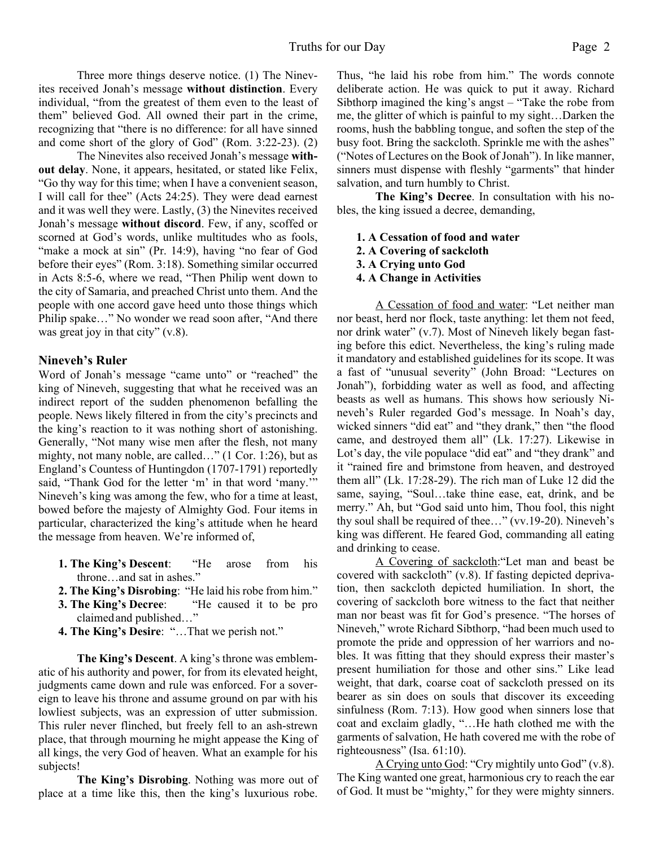Three more things deserve notice. (1) The Ninevites received Jonah's message **without distinction**. Every individual, "from the greatest of them even to the least of them" believed God. All owned their part in the crime, recognizing that "there is no difference: for all have sinned and come short of the glory of God" (Rom. 3:22-23). (2)

 The Ninevites also received Jonah's message **without delay**. None, it appears, hesitated, or stated like Felix, "Go thy way for this time; when I have a convenient season, I will call for thee" (Acts 24:25). They were dead earnest and it was well they were. Lastly, (3) the Ninevites received Jonah's message **without discord**. Few, if any, scoffed or scorned at God's words, unlike multitudes who as fools, "make a mock at sin" (Pr. 14:9), having "no fear of God" before their eyes" (Rom. 3:18). Something similar occurred in Acts 8:5-6, where we read, "Then Philip went down to the city of Samaria, and preached Christ unto them. And the people with one accord gave heed unto those things which Philip spake…" No wonder we read soon after, "And there was great joy in that city" (v.8).

#### **Nineveh's Ruler**

Word of Jonah's message "came unto" or "reached" the king of Nineveh, suggesting that what he received was an indirect report of the sudden phenomenon befalling the people. News likely filtered in from the city's precincts and the king's reaction to it was nothing short of astonishing. Generally, "Not many wise men after the flesh, not many mighty, not many noble, are called…" (1 Cor. 1:26), but as England's Countess of Huntingdon (1707-1791) reportedly said, "Thank God for the letter 'm' in that word 'many.'" Nineveh's king was among the few, who for a time at least, bowed before the majesty of Almighty God. Four items in particular, characterized the king's attitude when he heard the message from heaven. We're informed of,

- **1. The King's Descent**: "He arose from his throne…and sat in ashes."
- **2. The King's Disrobing**: "He laid his robe from him."
- **3. The King's Decree**: "He caused it to be pro claimed and published…"
- **4. The King's Desire**: "…That we perish not."

**The King's Descent**. A king's throne was emblematic of his authority and power, for from its elevated height, judgments came down and rule was enforced. For a sovereign to leave his throne and assume ground on par with his lowliest subjects, was an expression of utter submission. This ruler never flinched, but freely fell to an ash-strewn place, that through mourning he might appease the King of all kings, the very God of heaven. What an example for his subjects!

**The King's Disrobing**. Nothing was more out of place at a time like this, then the king's luxurious robe.

Thus, "he laid his robe from him." The words connote deliberate action. He was quick to put it away. Richard Sibthorp imagined the king's angst – "Take the robe from me, the glitter of which is painful to my sight…Darken the rooms, hush the babbling tongue, and soften the step of the busy foot. Bring the sackcloth. Sprinkle me with the ashes" ("Notes of Lectures on the Book of Jonah"). In like manner, sinners must dispense with fleshly "garments" that hinder salvation, and turn humbly to Christ.

**The King's Decree**. In consultation with his nobles, the king issued a decree, demanding,

- **1. A Cessation of food and water**
- **2. A Covering of sackcloth**
- **3. A Crying unto God**
- **4. A Change in Activities**

A Cessation of food and water: "Let neither man nor beast, herd nor flock, taste anything: let them not feed, nor drink water" (v.7). Most of Nineveh likely began fasting before this edict. Nevertheless, the king's ruling made it mandatory and established guidelines for its scope. It was a fast of "unusual severity" (John Broad: "Lectures on Jonah"), forbidding water as well as food, and affecting beasts as well as humans. This shows how seriously Nineveh's Ruler regarded God's message. In Noah's day, wicked sinners "did eat" and "they drank," then "the flood came, and destroyed them all" (Lk. 17:27). Likewise in Lot's day, the vile populace "did eat" and "they drank" and it "rained fire and brimstone from heaven, and destroyed them all" (Lk. 17:28-29). The rich man of Luke 12 did the same, saying, "Soul…take thine ease, eat, drink, and be merry." Ah, but "God said unto him, Thou fool, this night thy soul shall be required of thee…" (vv.19-20). Nineveh's king was different. He feared God, commanding all eating and drinking to cease.

A Covering of sackcloth:"Let man and beast be covered with sackcloth" (v.8). If fasting depicted deprivation, then sackcloth depicted humiliation. In short, the covering of sackcloth bore witness to the fact that neither man nor beast was fit for God's presence. "The horses of Nineveh," wrote Richard Sibthorp, "had been much used to promote the pride and oppression of her warriors and nobles. It was fitting that they should express their master's present humiliation for those and other sins." Like lead weight, that dark, coarse coat of sackcloth pressed on its bearer as sin does on souls that discover its exceeding sinfulness (Rom. 7:13). How good when sinners lose that coat and exclaim gladly, "…He hath clothed me with the garments of salvation, He hath covered me with the robe of righteousness" (Isa. 61:10).

A Crying unto God: "Cry mightily unto God" (v.8). The King wanted one great, harmonious cry to reach the ear of God. It must be "mighty," for they were mighty sinners.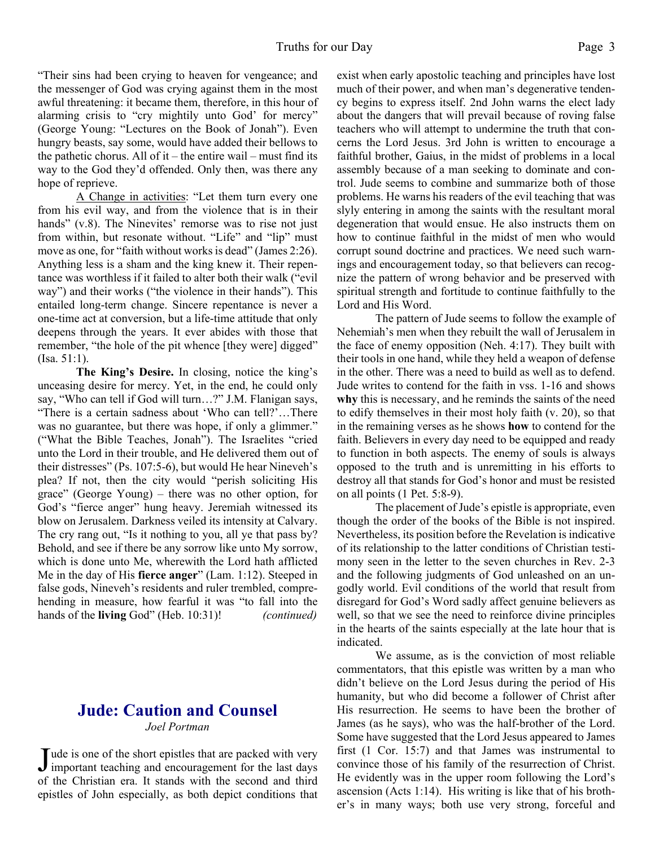"Their sins had been crying to heaven for vengeance; and the messenger of God was crying against them in the most awful threatening: it became them, therefore, in this hour of alarming crisis to "cry mightily unto God' for mercy" (George Young: "Lectures on the Book of Jonah"). Even hungry beasts, say some, would have added their bellows to the pathetic chorus. All of it – the entire wail – must find its way to the God they'd offended. Only then, was there any hope of reprieve.

A Change in activities: "Let them turn every one from his evil way, and from the violence that is in their hands" (v.8). The Ninevites' remorse was to rise not just from within, but resonate without. "Life" and "lip" must move as one, for "faith without works is dead" (James 2:26). Anything less is a sham and the king knew it. Their repentance was worthless if it failed to alter both their walk ("evil way") and their works ("the violence in their hands"). This entailed long-term change. Sincere repentance is never a one-time act at conversion, but a life-time attitude that only deepens through the years. It ever abides with those that remember, "the hole of the pit whence [they were] digged" (Isa. 51:1).

**The King's Desire.** In closing, notice the king's unceasing desire for mercy. Yet, in the end, he could only say, "Who can tell if God will turn…?" J.M. Flanigan says, "There is a certain sadness about 'Who can tell?'…There was no guarantee, but there was hope, if only a glimmer." ("What the Bible Teaches, Jonah"). The Israelites "cried unto the Lord in their trouble, and He delivered them out of their distresses" (Ps. 107:5-6), but would He hear Nineveh's plea? If not, then the city would "perish soliciting His grace" (George Young) – there was no other option, for God's "fierce anger" hung heavy. Jeremiah witnessed its blow on Jerusalem. Darkness veiled its intensity at Calvary. The cry rang out, "Is it nothing to you, all ye that pass by? Behold, and see if there be any sorrow like unto My sorrow, which is done unto Me, wherewith the Lord hath afflicted Me in the day of His **fierce anger**" (Lam. 1:12). Steeped in false gods, Nineveh's residents and ruler trembled, comprehending in measure, how fearful it was "to fall into the hands of the **living** God" (Heb. 10:31)! *(continued)*

# **Jude: Caution and Counsel** *Joel Portman*

Jude is one of the short epistles that are packed with very<br>important teaching and encouragement for the last days Tude is one of the short epistles that are packed with very of the Christian era. It stands with the second and third epistles of John especially, as both depict conditions that exist when early apostolic teaching and principles have lost much of their power, and when man's degenerative tendency begins to express itself. 2nd John warns the elect lady about the dangers that will prevail because of roving false teachers who will attempt to undermine the truth that concerns the Lord Jesus. 3rd John is written to encourage a faithful brother, Gaius, in the midst of problems in a local assembly because of a man seeking to dominate and control. Jude seems to combine and summarize both of those problems. He warns his readers of the evil teaching that was slyly entering in among the saints with the resultant moral degeneration that would ensue. He also instructs them on how to continue faithful in the midst of men who would corrupt sound doctrine and practices. We need such warnings and encouragement today, so that believers can recognize the pattern of wrong behavior and be preserved with spiritual strength and fortitude to continue faithfully to the Lord and His Word.

 The pattern of Jude seems to follow the example of Nehemiah's men when they rebuilt the wall of Jerusalem in the face of enemy opposition (Neh. 4:17). They built with their tools in one hand, while they held a weapon of defense in the other. There was a need to build as well as to defend. Jude writes to contend for the faith in vss. 1-16 and shows **why** this is necessary, and he reminds the saints of the need to edify themselves in their most holy faith (v. 20), so that in the remaining verses as he shows **how** to contend for the faith. Believers in every day need to be equipped and ready to function in both aspects. The enemy of souls is always opposed to the truth and is unremitting in his efforts to destroy all that stands for God's honor and must be resisted on all points (1 Pet. 5:8-9).

 The placement of Jude's epistle is appropriate, even though the order of the books of the Bible is not inspired. Nevertheless, its position before the Revelation is indicative of its relationship to the latter conditions of Christian testimony seen in the letter to the seven churches in Rev. 2-3 and the following judgments of God unleashed on an ungodly world. Evil conditions of the world that result from disregard for God's Word sadly affect genuine believers as well, so that we see the need to reinforce divine principles in the hearts of the saints especially at the late hour that is indicated.

 We assume, as is the conviction of most reliable commentators, that this epistle was written by a man who didn't believe on the Lord Jesus during the period of His humanity, but who did become a follower of Christ after His resurrection. He seems to have been the brother of James (as he says), who was the half-brother of the Lord. Some have suggested that the Lord Jesus appeared to James first (1 Cor. 15:7) and that James was instrumental to convince those of his family of the resurrection of Christ. He evidently was in the upper room following the Lord's ascension (Acts 1:14). His writing is like that of his brother's in many ways; both use very strong, forceful and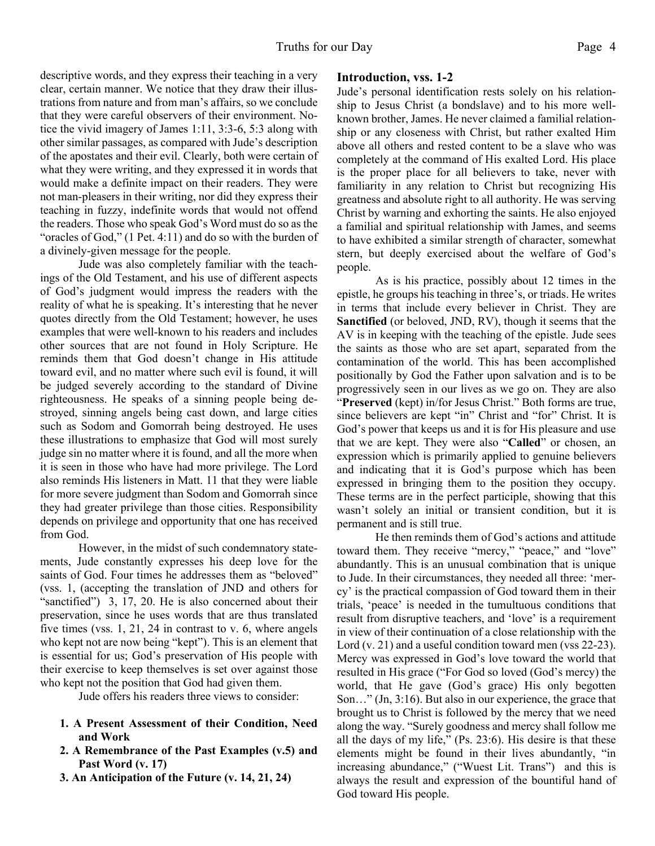descriptive words, and they express their teaching in a very clear, certain manner. We notice that they draw their illustrations from nature and from man's affairs, so we conclude that they were careful observers of their environment. Notice the vivid imagery of James 1:11, 3:3-6, 5:3 along with other similar passages, as compared with Jude's description of the apostates and their evil. Clearly, both were certain of what they were writing, and they expressed it in words that would make a definite impact on their readers. They were not man-pleasers in their writing, nor did they express their teaching in fuzzy, indefinite words that would not offend the readers. Those who speak God's Word must do so as the "oracles of God," (1 Pet. 4:11) and do so with the burden of a divinely-given message for the people.

 Jude was also completely familiar with the teachings of the Old Testament, and his use of different aspects of God's judgment would impress the readers with the reality of what he is speaking. It's interesting that he never quotes directly from the Old Testament; however, he uses examples that were well-known to his readers and includes other sources that are not found in Holy Scripture. He reminds them that God doesn't change in His attitude toward evil, and no matter where such evil is found, it will be judged severely according to the standard of Divine righteousness. He speaks of a sinning people being destroyed, sinning angels being cast down, and large cities such as Sodom and Gomorrah being destroyed. He uses these illustrations to emphasize that God will most surely judge sin no matter where it is found, and all the more when it is seen in those who have had more privilege. The Lord also reminds His listeners in Matt. 11 that they were liable for more severe judgment than Sodom and Gomorrah since they had greater privilege than those cities. Responsibility depends on privilege and opportunity that one has received from God.

 However, in the midst of such condemnatory statements, Jude constantly expresses his deep love for the saints of God. Four times he addresses them as "beloved" (vss. 1, (accepting the translation of JND and others for "sanctified") 3, 17, 20. He is also concerned about their preservation, since he uses words that are thus translated five times (vss. 1, 21, 24 in contrast to v. 6, where angels who kept not are now being "kept"). This is an element that is essential for us; God's preservation of His people with their exercise to keep themselves is set over against those who kept not the position that God had given them.

Jude offers his readers three views to consider:

- **1. A Present Assessment of their Condition, Need and Work**
- **2. A Remembrance of the Past Examples (v.5) and Past Word (v. 17)**
- **3. An Anticipation of the Future (v. 14, 21, 24)**

#### **Introduction, vss. 1-2**

Jude's personal identification rests solely on his relationship to Jesus Christ (a bondslave) and to his more wellknown brother, James. He never claimed a familial relationship or any closeness with Christ, but rather exalted Him above all others and rested content to be a slave who was completely at the command of His exalted Lord. His place is the proper place for all believers to take, never with familiarity in any relation to Christ but recognizing His greatness and absolute right to all authority. He was serving Christ by warning and exhorting the saints. He also enjoyed a familial and spiritual relationship with James, and seems to have exhibited a similar strength of character, somewhat stern, but deeply exercised about the welfare of God's people.

 As is his practice, possibly about 12 times in the epistle, he groups his teaching in three's, or triads. He writes in terms that include every believer in Christ. They are **Sanctified** (or beloved, JND, RV), though it seems that the AV is in keeping with the teaching of the epistle. Jude sees the saints as those who are set apart, separated from the contamination of the world. This has been accomplished positionally by God the Father upon salvation and is to be progressively seen in our lives as we go on. They are also "**Preserved** (kept) in/for Jesus Christ." Both forms are true, since believers are kept "in" Christ and "for" Christ. It is God's power that keeps us and it is for His pleasure and use that we are kept. They were also "**Called**" or chosen, an expression which is primarily applied to genuine believers and indicating that it is God's purpose which has been expressed in bringing them to the position they occupy. These terms are in the perfect participle, showing that this wasn't solely an initial or transient condition, but it is permanent and is still true.

 He then reminds them of God's actions and attitude toward them. They receive "mercy," "peace," and "love" abundantly. This is an unusual combination that is unique to Jude. In their circumstances, they needed all three: 'mercy' is the practical compassion of God toward them in their trials, 'peace' is needed in the tumultuous conditions that result from disruptive teachers, and 'love' is a requirement in view of their continuation of a close relationship with the Lord (v. 21) and a useful condition toward men (vss 22-23). Mercy was expressed in God's love toward the world that resulted in His grace ("For God so loved (God's mercy) the world, that He gave (God's grace) His only begotten Son…" (Jn, 3:16). But also in our experience, the grace that brought us to Christ is followed by the mercy that we need along the way. "Surely goodness and mercy shall follow me all the days of my life," (Ps. 23:6). His desire is that these elements might be found in their lives abundantly, "in increasing abundance," ("Wuest Lit. Trans") and this is always the result and expression of the bountiful hand of God toward His people.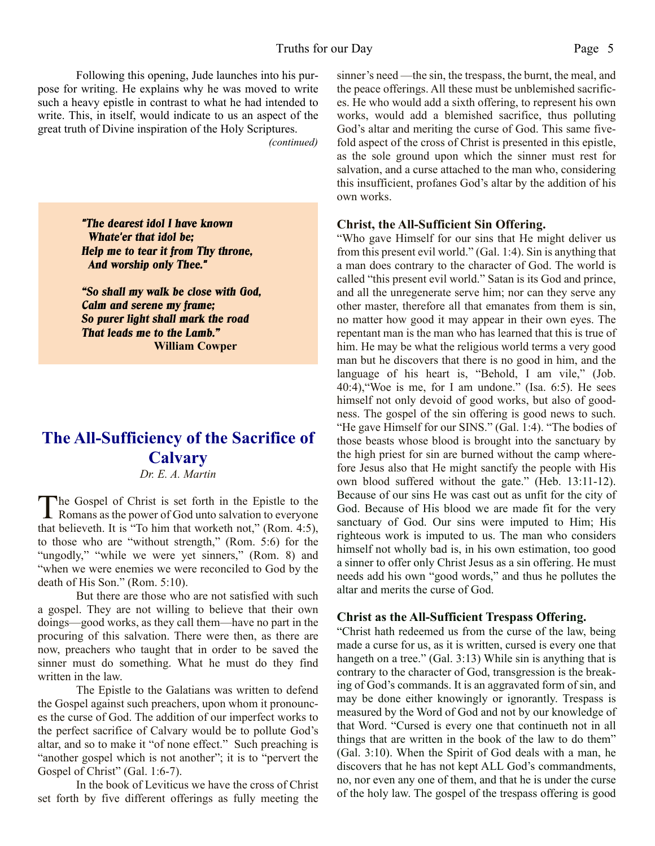Following this opening, Jude launches into his purpose for writing. He explains why he was moved to write such a heavy epistle in contrast to what he had intended to write. This, in itself, would indicate to us an aspect of the great truth of Divine inspiration of the Holy Scriptures.

*(continued)*

*"The dearest idol I have known Whate'er that idol be; Help me to tear it from Thy throne, And worship only Thee."*

*"So shall my walk be close with God, Calm and serene my frame; So purer light shall mark the road That leads me to the Lamb."* **William Cowper**

# **The All-Sufficiency of the Sacrifice of Calvary**

#### *Dr. E. A. Martin*

The Gospel of Christ is set forth in the Epistle to the<br>Romans as the power of God unto salvation to everyone Romans as the power of God unto salvation to everyone that believeth. It is "To him that worketh not," (Rom. 4:5), to those who are "without strength," (Rom. 5:6) for the "ungodly," "while we were yet sinners," (Rom. 8) and "when we were enemies we were reconciled to God by the death of His Son." (Rom. 5:10).

 But there are those who are not satisfied with such a gospel. They are not willing to believe that their own doings—good works, as they call them—have no part in the procuring of this salvation. There were then, as there are now, preachers who taught that in order to be saved the sinner must do something. What he must do they find written in the law.

 The Epistle to the Galatians was written to defend the Gospel against such preachers, upon whom it pronounces the curse of God. The addition of our imperfect works to the perfect sacrifice of Calvary would be to pollute God's altar, and so to make it "of none effect." Such preaching is "another gospel which is not another"; it is to "pervert the Gospel of Christ" (Gal. 1:6-7).

 In the book of Leviticus we have the cross of Christ set forth by five different offerings as fully meeting the sinner's need —the sin, the trespass, the burnt, the meal, and the peace offerings. All these must be unblemished sacrifices. He who would add a sixth offering, to represent his own works, would add a blemished sacrifice, thus polluting God's altar and meriting the curse of God. This same fivefold aspect of the cross of Christ is presented in this epistle, as the sole ground upon which the sinner must rest for salvation, and a curse attached to the man who, considering this insufficient, profanes God's altar by the addition of his own works.

#### **Christ, the All-Sufficient Sin Offering.**

"Who gave Himself for our sins that He might deliver us from this present evil world." (Gal. 1:4). Sin is anything that a man does contrary to the character of God. The world is called "this present evil world." Satan is its God and prince, and all the unregenerate serve him; nor can they serve any other master, therefore all that emanates from them is sin, no matter how good it may appear in their own eyes. The repentant man is the man who has learned that this is true of him. He may be what the religious world terms a very good man but he discovers that there is no good in him, and the language of his heart is, "Behold, I am vile," (Job. 40:4),"Woe is me, for I am undone." (Isa. 6:5). He sees himself not only devoid of good works, but also of goodness. The gospel of the sin offering is good news to such. "He gave Himself for our SINS." (Gal. 1:4). "The bodies of those beasts whose blood is brought into the sanctuary by the high priest for sin are burned without the camp wherefore Jesus also that He might sanctify the people with His own blood suffered without the gate." (Heb. 13:11-12). Because of our sins He was cast out as unfit for the city of God. Because of His blood we are made fit for the very sanctuary of God. Our sins were imputed to Him; His righteous work is imputed to us. The man who considers himself not wholly bad is, in his own estimation, too good a sinner to offer only Christ Jesus as a sin offering. He must needs add his own "good words," and thus he pollutes the altar and merits the curse of God.

#### **Christ as the All-Sufficient Trespass Offering.**

"Christ hath redeemed us from the curse of the law, being made a curse for us, as it is written, cursed is every one that hangeth on a tree." (Gal. 3:13) While sin is anything that is contrary to the character of God, transgression is the breaking of God's commands. It is an aggravated form of sin, and may be done either knowingly or ignorantly. Trespass is measured by the Word of God and not by our knowledge of that Word. "Cursed is every one that continueth not in all things that are written in the book of the law to do them" (Gal. 3:10). When the Spirit of God deals with a man, he discovers that he has not kept ALL God's commandments, no, nor even any one of them, and that he is under the curse of the holy law. The gospel of the trespass offering is good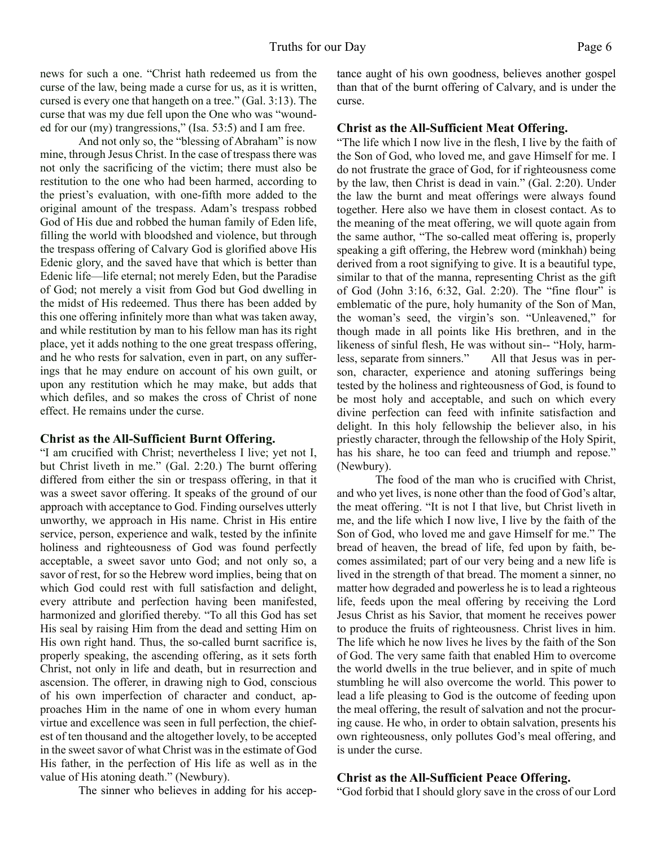news for such a one. "Christ hath redeemed us from the curse of the law, being made a curse for us, as it is written, cursed is every one that hangeth on a tree." (Gal. 3:13). The curse that was my due fell upon the One who was "wounded for our (my) trangressions," (Isa. 53:5) and I am free.

 And not only so, the "blessing of Abraham" is now mine, through Jesus Christ. In the case of trespass there was not only the sacrificing of the victim; there must also be restitution to the one who had been harmed, according to the priest's evaluation, with one-fifth more added to the original amount of the trespass. Adam's trespass robbed God of His due and robbed the human family of Eden life, filling the world with bloodshed and violence, but through the trespass offering of Calvary God is glorified above His Edenic glory, and the saved have that which is better than Edenic life—life eternal; not merely Eden, but the Paradise of God; not merely a visit from God but God dwelling in the midst of His redeemed. Thus there has been added by this one offering infinitely more than what was taken away, and while restitution by man to his fellow man has its right place, yet it adds nothing to the one great trespass offering, and he who rests for salvation, even in part, on any sufferings that he may endure on account of his own guilt, or upon any restitution which he may make, but adds that which defiles, and so makes the cross of Christ of none effect. He remains under the curse.

#### **Christ as the All-Sufficient Burnt Offering.**

"I am crucified with Christ; nevertheless I live; yet not I, but Christ liveth in me." (Gal. 2:20.) The burnt offering differed from either the sin or trespass offering, in that it was a sweet savor offering. It speaks of the ground of our approach with acceptance to God. Finding ourselves utterly unworthy, we approach in His name. Christ in His entire service, person, experience and walk, tested by the infinite holiness and righteousness of God was found perfectly acceptable, a sweet savor unto God; and not only so, a savor of rest, for so the Hebrew word implies, being that on which God could rest with full satisfaction and delight, every attribute and perfection having been manifested, harmonized and glorified thereby. "To all this God has set His seal by raising Him from the dead and setting Him on His own right hand. Thus, the so-called burnt sacrifice is, properly speaking, the ascending offering, as it sets forth Christ, not only in life and death, but in resurrection and ascension. The offerer, in drawing nigh to God, conscious of his own imperfection of character and conduct, approaches Him in the name of one in whom every human virtue and excellence was seen in full perfection, the chiefest of ten thousand and the altogether lovely, to be accepted in the sweet savor of what Christ was in the estimate of God His father, in the perfection of His life as well as in the value of His atoning death." (Newbury).

The sinner who believes in adding for his accep-

tance aught of his own goodness, believes another gospel than that of the burnt offering of Calvary, and is under the curse.

#### **Christ as the All-Sufficient Meat Offering.**

"The life which I now live in the flesh, I live by the faith of the Son of God, who loved me, and gave Himself for me. I do not frustrate the grace of God, for if righteousness come by the law, then Christ is dead in vain." (Gal. 2:20). Under the law the burnt and meat offerings were always found together. Here also we have them in closest contact. As to the meaning of the meat offering, we will quote again from the same author, "The so-called meat offering is, properly speaking a gift offering, the Hebrew word (minkhah) being derived from a root signifying to give. It is a beautiful type, similar to that of the manna, representing Christ as the gift of God (John 3:16, 6:32, Gal. 2:20). The "fine flour" is emblematic of the pure, holy humanity of the Son of Man, the woman's seed, the virgin's son. "Unleavened," for though made in all points like His brethren, and in the likeness of sinful flesh, He was without sin-- "Holy, harmless, separate from sinners." All that Jesus was in person, character, experience and atoning sufferings being tested by the holiness and righteousness of God, is found to be most holy and acceptable, and such on which every divine perfection can feed with infinite satisfaction and delight. In this holy fellowship the believer also, in his priestly character, through the fellowship of the Holy Spirit, has his share, he too can feed and triumph and repose." (Newbury).

 The food of the man who is crucified with Christ, and who yet lives, is none other than the food of God's altar, the meat offering. "It is not I that live, but Christ liveth in me, and the life which I now live, I live by the faith of the Son of God, who loved me and gave Himself for me." The bread of heaven, the bread of life, fed upon by faith, becomes assimilated; part of our very being and a new life is lived in the strength of that bread. The moment a sinner, no matter how degraded and powerless he is to lead a righteous life, feeds upon the meal offering by receiving the Lord Jesus Christ as his Savior, that moment he receives power to produce the fruits of righteousness. Christ lives in him. The life which he now lives he lives by the faith of the Son of God. The very same faith that enabled Him to overcome the world dwells in the true believer, and in spite of much stumbling he will also overcome the world. This power to lead a life pleasing to God is the outcome of feeding upon the meal offering, the result of salvation and not the procuring cause. He who, in order to obtain salvation, presents his own righteousness, only pollutes God's meal offering, and is under the curse.

#### **Christ as the All-Sufficient Peace Offering.**

"God forbid that I should glory save in the cross of our Lord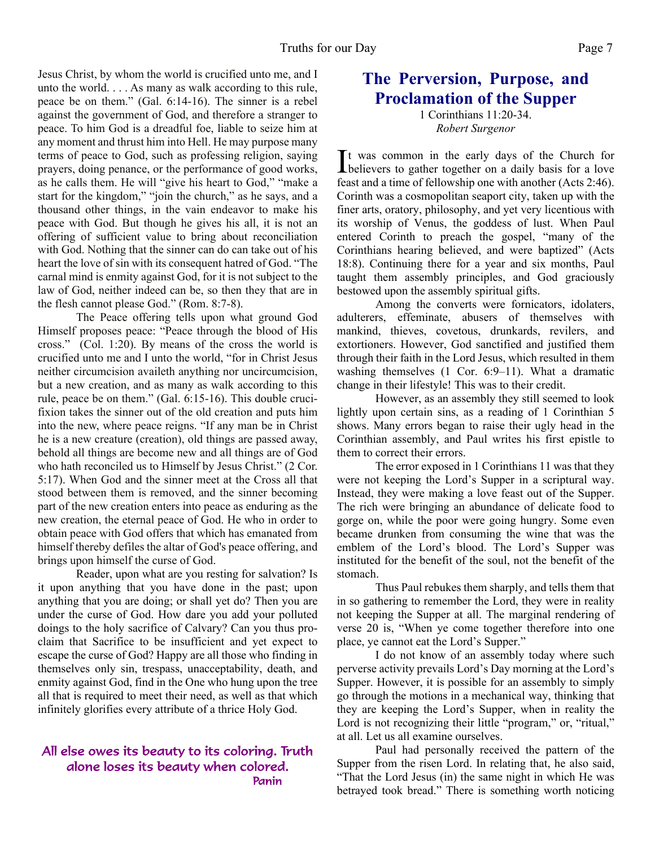Jesus Christ, by whom the world is crucified unto me, and I unto the world. . . . As many as walk according to this rule, peace be on them." (Gal. 6:14-16). The sinner is a rebel against the government of God, and therefore a stranger to peace. To him God is a dreadful foe, liable to seize him at any moment and thrust him into Hell. He may purpose many terms of peace to God, such as professing religion, saying prayers, doing penance, or the performance of good works, as he calls them. He will "give his heart to God," "make a start for the kingdom," "join the church," as he says, and a thousand other things, in the vain endeavor to make his peace with God. But though he gives his all, it is not an offering of sufficient value to bring about reconciliation with God. Nothing that the sinner can do can take out of his heart the love of sin with its consequent hatred of God. "The carnal mind is enmity against God, for it is not subject to the law of God, neither indeed can be, so then they that are in the flesh cannot please God." (Rom. 8:7-8).

 The Peace offering tells upon what ground God Himself proposes peace: "Peace through the blood of His cross." (Col. 1:20). By means of the cross the world is crucified unto me and I unto the world, "for in Christ Jesus neither circumcision availeth anything nor uncircumcision, but a new creation, and as many as walk according to this rule, peace be on them." (Gal. 6:15-16). This double crucifixion takes the sinner out of the old creation and puts him into the new, where peace reigns. "If any man be in Christ he is a new creature (creation), old things are passed away, behold all things are become new and all things are of God who hath reconciled us to Himself by Jesus Christ." (2 Cor. 5:17). When God and the sinner meet at the Cross all that stood between them is removed, and the sinner becoming part of the new creation enters into peace as enduring as the new creation, the eternal peace of God. He who in order to obtain peace with God offers that which has emanated from himself thereby defiles the altar of God's peace offering, and brings upon himself the curse of God.

Reader, upon what are you resting for salvation? Is it upon anything that you have done in the past; upon anything that you are doing; or shall yet do? Then you are under the curse of God. How dare you add your polluted doings to the holy sacrifice of Calvary? Can you thus proclaim that Sacrifice to be insufficient and yet expect to escape the curse of God? Happy are all those who finding in themselves only sin, trespass, unacceptability, death, and enmity against God, find in the One who hung upon the tree all that is required to meet their need, as well as that which infinitely glorifies every attribute of a thrice Holy God.

#### All else owes its beauty to its coloring. Truth alone loses its beauty when colored. Panin

# **The Perversion, Purpose, and Proclamation of the Supper**

1 Corinthians 11:20-34. *Robert Surgenor*

It was common in the early days of the Church for<br>believers to gather together on a daily basis for a love It was common in the early days of the Church for feast and a time of fellowship one with another (Acts 2:46). Corinth was a cosmopolitan seaport city, taken up with the finer arts, oratory, philosophy, and yet very licentious with its worship of Venus, the goddess of lust. When Paul entered Corinth to preach the gospel, "many of the Corinthians hearing believed, and were baptized" (Acts 18:8). Continuing there for a year and six months, Paul taught them assembly principles, and God graciously bestowed upon the assembly spiritual gifts.

 Among the converts were fornicators, idolaters, adulterers, effeminate, abusers of themselves with mankind, thieves, covetous, drunkards, revilers, and extortioners. However, God sanctified and justified them through their faith in the Lord Jesus, which resulted in them washing themselves (1 Cor. 6:9–11). What a dramatic change in their lifestyle! This was to their credit.

 However, as an assembly they still seemed to look lightly upon certain sins, as a reading of 1 Corinthian 5 shows. Many errors began to raise their ugly head in the Corinthian assembly, and Paul writes his first epistle to them to correct their errors.

 The error exposed in 1 Corinthians 11 was that they were not keeping the Lord's Supper in a scriptural way. Instead, they were making a love feast out of the Supper. The rich were bringing an abundance of delicate food to gorge on, while the poor were going hungry. Some even became drunken from consuming the wine that was the emblem of the Lord's blood. The Lord's Supper was instituted for the benefit of the soul, not the benefit of the stomach.

 Thus Paul rebukes them sharply, and tells them that in so gathering to remember the Lord, they were in reality not keeping the Supper at all. The marginal rendering of verse 20 is, "When ye come together therefore into one place, ye cannot eat the Lord's Supper."

 I do not know of an assembly today where such perverse activity prevails Lord's Day morning at the Lord's Supper. However, it is possible for an assembly to simply go through the motions in a mechanical way, thinking that they are keeping the Lord's Supper, when in reality the Lord is not recognizing their little "program," or, "ritual," at all. Let us all examine ourselves.

 Paul had personally received the pattern of the Supper from the risen Lord. In relating that, he also said, "That the Lord Jesus (in) the same night in which He was betrayed took bread." There is something worth noticing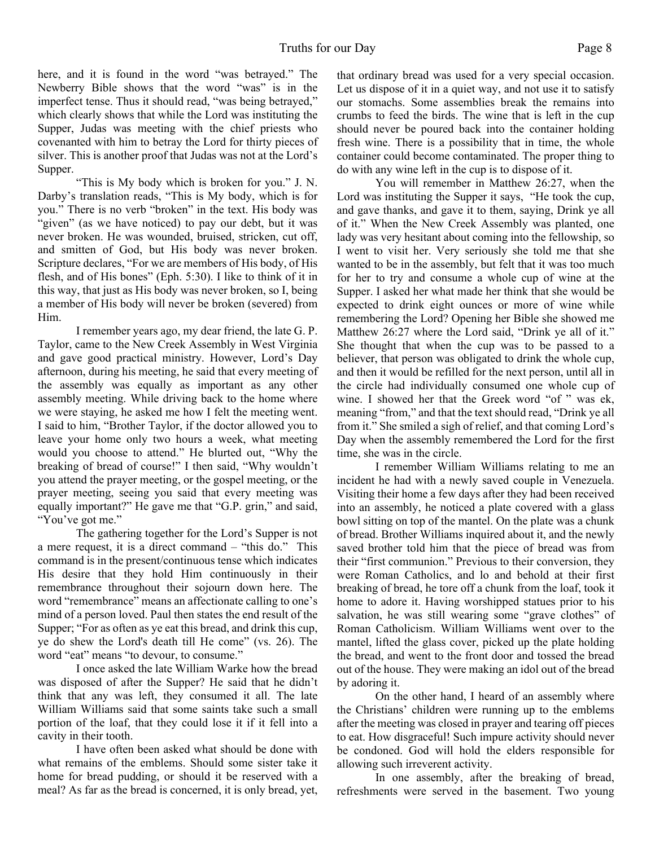here, and it is found in the word "was betrayed." The Newberry Bible shows that the word "was" is in the imperfect tense. Thus it should read, "was being betrayed," which clearly shows that while the Lord was instituting the Supper, Judas was meeting with the chief priests who covenanted with him to betray the Lord for thirty pieces of silver. This is another proof that Judas was not at the Lord's Supper.

 "This is My body which is broken for you." J. N. Darby's translation reads, "This is My body, which is for you." There is no verb "broken" in the text. His body was "given" (as we have noticed) to pay our debt, but it was never broken. He was wounded, bruised, stricken, cut off, and smitten of God, but His body was never broken. Scripture declares, "For we are members of His body, of His flesh, and of His bones" (Eph. 5:30). I like to think of it in this way, that just as His body was never broken, so I, being a member of His body will never be broken (severed) from Him.

 I remember years ago, my dear friend, the late G. P. Taylor, came to the New Creek Assembly in West Virginia and gave good practical ministry. However, Lord's Day afternoon, during his meeting, he said that every meeting of the assembly was equally as important as any other assembly meeting. While driving back to the home where we were staying, he asked me how I felt the meeting went. I said to him, "Brother Taylor, if the doctor allowed you to leave your home only two hours a week, what meeting would you choose to attend." He blurted out, "Why the breaking of bread of course!" I then said, "Why wouldn't you attend the prayer meeting, or the gospel meeting, or the prayer meeting, seeing you said that every meeting was equally important?" He gave me that "G.P. grin," and said, "You've got me."

 The gathering together for the Lord's Supper is not a mere request, it is a direct command – "this do." This command is in the present/continuous tense which indicates His desire that they hold Him continuously in their remembrance throughout their sojourn down here. The word "remembrance" means an affectionate calling to one's mind of a person loved. Paul then states the end result of the Supper; "For as often as ye eat this bread, and drink this cup, ye do shew the Lord's death till He come" (vs. 26). The word "eat" means "to devour, to consume."

 I once asked the late William Warke how the bread was disposed of after the Supper? He said that he didn't think that any was left, they consumed it all. The late William Williams said that some saints take such a small portion of the loaf, that they could lose it if it fell into a cavity in their tooth.

 I have often been asked what should be done with what remains of the emblems. Should some sister take it home for bread pudding, or should it be reserved with a meal? As far as the bread is concerned, it is only bread, yet,

that ordinary bread was used for a very special occasion. Let us dispose of it in a quiet way, and not use it to satisfy our stomachs. Some assemblies break the remains into crumbs to feed the birds. The wine that is left in the cup should never be poured back into the container holding fresh wine. There is a possibility that in time, the whole container could become contaminated. The proper thing to do with any wine left in the cup is to dispose of it.

 You will remember in Matthew 26:27, when the Lord was instituting the Supper it says, "He took the cup, and gave thanks, and gave it to them, saying, Drink ye all of it." When the New Creek Assembly was planted, one lady was very hesitant about coming into the fellowship, so I went to visit her. Very seriously she told me that she wanted to be in the assembly, but felt that it was too much for her to try and consume a whole cup of wine at the Supper. I asked her what made her think that she would be expected to drink eight ounces or more of wine while remembering the Lord? Opening her Bible she showed me Matthew 26:27 where the Lord said, "Drink ye all of it." She thought that when the cup was to be passed to a believer, that person was obligated to drink the whole cup, and then it would be refilled for the next person, until all in the circle had individually consumed one whole cup of wine. I showed her that the Greek word "of " was ek, meaning "from," and that the text should read, "Drink ye all from it." She smiled a sigh of relief, and that coming Lord's Day when the assembly remembered the Lord for the first time, she was in the circle.

 I remember William Williams relating to me an incident he had with a newly saved couple in Venezuela. Visiting their home a few days after they had been received into an assembly, he noticed a plate covered with a glass bowl sitting on top of the mantel. On the plate was a chunk of bread. Brother Williams inquired about it, and the newly saved brother told him that the piece of bread was from their "first communion." Previous to their conversion, they were Roman Catholics, and lo and behold at their first breaking of bread, he tore off a chunk from the loaf, took it home to adore it. Having worshipped statues prior to his salvation, he was still wearing some "grave clothes" of Roman Catholicism. William Williams went over to the mantel, lifted the glass cover, picked up the plate holding the bread, and went to the front door and tossed the bread out of the house. They were making an idol out of the bread by adoring it.

 On the other hand, I heard of an assembly where the Christians' children were running up to the emblems after the meeting was closed in prayer and tearing off pieces to eat. How disgraceful! Such impure activity should never be condoned. God will hold the elders responsible for allowing such irreverent activity.

 In one assembly, after the breaking of bread, refreshments were served in the basement. Two young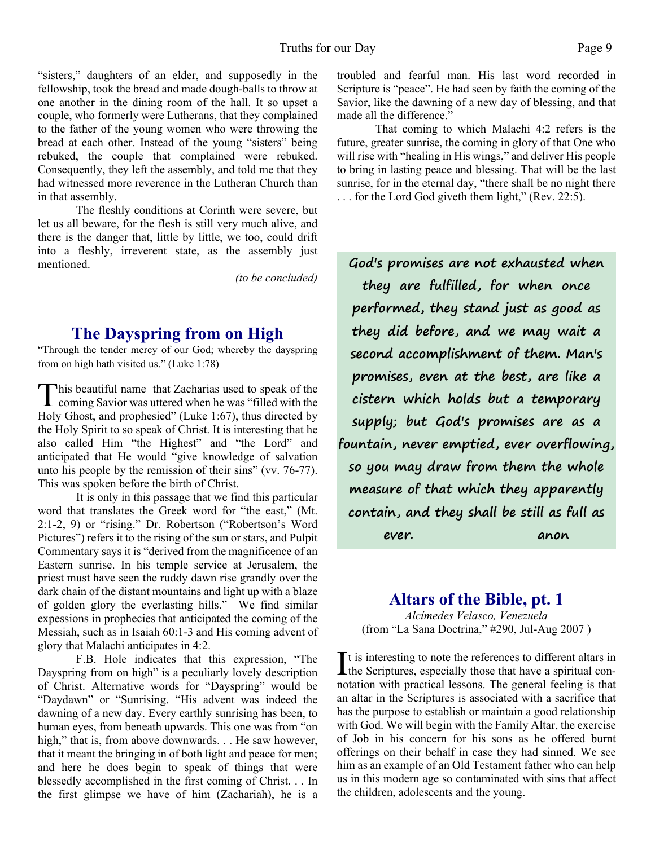"sisters," daughters of an elder, and supposedly in the fellowship, took the bread and made dough-balls to throw at one another in the dining room of the hall. It so upset a couple, who formerly were Lutherans, that they complained to the father of the young women who were throwing the bread at each other. Instead of the young "sisters" being rebuked, the couple that complained were rebuked. Consequently, they left the assembly, and told me that they had witnessed more reverence in the Lutheran Church than in that assembly.

 The fleshly conditions at Corinth were severe, but let us all beware, for the flesh is still very much alive, and there is the danger that, little by little, we too, could drift into a fleshly, irreverent state, as the assembly just mentioned.

*(to be concluded)*

# **The Dayspring from on High**

"Through the tender mercy of our God; whereby the dayspring from on high hath visited us." (Luke 1:78)

This beautiful name that Zacharias used to speak of the coming Savior was uttered when he was "filled with the **This beautiful name that Zacharias used to speak of the** Holy Ghost, and prophesied" (Luke 1:67), thus directed by the Holy Spirit to so speak of Christ. It is interesting that he also called Him "the Highest" and "the Lord" and anticipated that He would "give knowledge of salvation unto his people by the remission of their sins" (vv. 76-77). This was spoken before the birth of Christ.

 It is only in this passage that we find this particular word that translates the Greek word for "the east," (Mt. 2:1-2, 9) or "rising." Dr. Robertson ("Robertson's Word Pictures") refers it to the rising of the sun or stars, and Pulpit Commentary says it is "derived from the magnificence of an Eastern sunrise. In his temple service at Jerusalem, the priest must have seen the ruddy dawn rise grandly over the dark chain of the distant mountains and light up with a blaze of golden glory the everlasting hills." We find similar expessions in prophecies that anticipated the coming of the Messiah, such as in Isaiah 60:1-3 and His coming advent of glory that Malachi anticipates in 4:2.

F.B. Hole indicates that this expression, "The Dayspring from on high" is a peculiarly lovely description of Christ. Alternative words for "Dayspring" would be "Daydawn" or "Sunrising. "His advent was indeed the dawning of a new day. Every earthly sunrising has been, to human eyes, from beneath upwards. This one was from "on high," that is, from above downwards. . . He saw however, that it meant the bringing in of both light and peace for men; and here he does begin to speak of things that were blessedly accomplished in the first coming of Christ. . . In the first glimpse we have of him (Zachariah), he is a

troubled and fearful man. His last word recorded in Scripture is "peace". He had seen by faith the coming of the Savior, like the dawning of a new day of blessing, and that made all the difference."

That coming to which Malachi 4:2 refers is the future, greater sunrise, the coming in glory of that One who will rise with "healing in His wings," and deliver His people to bring in lasting peace and blessing. That will be the last sunrise, for in the eternal day, "there shall be no night there . . . for the Lord God giveth them light," (Rev. 22:5).

**God's promises are not exhausted when they are fulfilled, for when once performed, they stand just as good as they did before, and we may wait a second accomplishment of them. Man's promises, even at the best, are like a cistern which holds but a temporary supply; but God's promises are as a fountain, never emptied, ever overflowing, so you may draw from them the whole measure of that which they apparently contain, and they shall be still as full as ever. anon**

# **Altars of the Bible, pt. 1**

*Alcímedes Velasco, Venezuela* (from "La Sana Doctrina," #290, Jul-Aug 2007 )

It is interesting to note the references to different altars in the Scriptures, especially those that have a spiritual con- $\mathbf{\bar{I}}$  t is interesting to note the references to different altars in notation with practical lessons. The general feeling is that an altar in the Scriptures is associated with a sacrifice that has the purpose to establish or maintain a good relationship with God. We will begin with the Family Altar, the exercise of Job in his concern for his sons as he offered burnt offerings on their behalf in case they had sinned. We see him as an example of an Old Testament father who can help us in this modern age so contaminated with sins that affect the children, adolescents and the young.